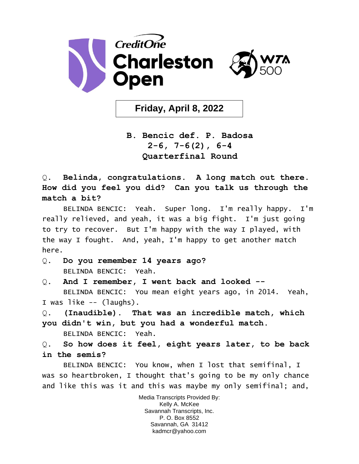

**Friday, April 8, 2022**

**B. Bencic def. P. Badosa 2-6, 7-6(2), 6-4 Quarterfinal Round**

Q. **Belinda, congratulations. A long match out there. How did you feel you did? Can you talk us through the match a bit?** 

BELINDA BENCIC: Yeah. Super long. I'm really happy. I'm really relieved, and yeah, it was a big fight. I'm just going to try to recover. But I'm happy with the way I played, with the way I fought. And, yeah, I'm happy to get another match here.

- Q. **Do you remember 14 years ago?**  BELINDA BENCIC: Yeah.
- Q. **And I remember, I went back and looked --** BELINDA BENCIC: You mean eight years ago, in 2014. Yeah, I was like -- (laughs).
- Q. **(Inaudible). That was an incredible match, which you didn't win, but you had a wonderful match.**  BELINDA BENCIC: Yeah.

Q. **So how does it feel, eight years later, to be back in the semis?** 

BELINDA BENCIC: You know, when I lost that semifinal, I was so heartbroken, I thought that's going to be my only chance and like this was it and this was maybe my only semifinal; and,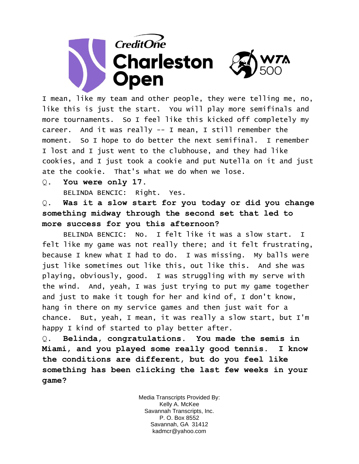

I mean, like my team and other people, they were telling me, no, like this is just the start. You will play more semifinals and more tournaments. So I feel like this kicked off completely my career. And it was really -- I mean, I still remember the moment. So I hope to do better the next semifinal. I remember I lost and I just went to the clubhouse, and they had like cookies, and I just took a cookie and put Nutella on it and just ate the cookie. That's what we do when we lose.

Q. **You were only 17.** 

BELINDA BENCIC: Right. Yes.

Q. **Was it a slow start for you today or did you change something midway through the second set that led to more success for you this afternoon?** 

BELINDA BENCIC: No. I felt like it was a slow start. I felt like my game was not really there; and it felt frustrating, because I knew what I had to do. I was missing. My balls were just like sometimes out like this, out like this. And she was playing, obviously, good. I was struggling with my serve with the wind. And, yeah, I was just trying to put my game together and just to make it tough for her and kind of, I don't know, hang in there on my service games and then just wait for a chance. But, yeah, I mean, it was really a slow start, but I'm happy I kind of started to play better after.

Q. **Belinda, congratulations. You made the semis in Miami, and you played some really good tennis. I know the conditions are different, but do you feel like something has been clicking the last few weeks in your game?**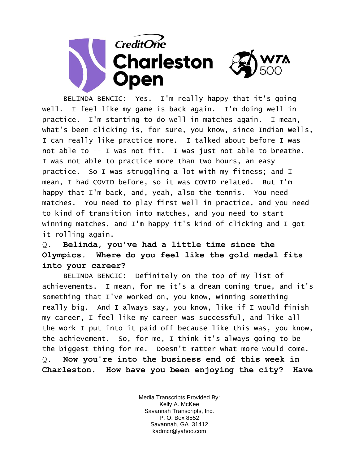

BELINDA BENCIC: Yes. I'm really happy that it's going well. I feel like my game is back again. I'm doing well in practice. I'm starting to do well in matches again. I mean, what's been clicking is, for sure, you know, since Indian Wells, I can really like practice more. I talked about before I was not able to -- I was not fit. I was just not able to breathe. I was not able to practice more than two hours, an easy practice. So I was struggling a lot with my fitness; and I mean, I had COVID before, so it was COVID related. But I'm happy that I'm back, and, yeah, also the tennis. You need matches. You need to play first well in practice, and you need to kind of transition into matches, and you need to start winning matches, and I'm happy it's kind of clicking and I got it rolling again.

## Q. **Belinda, you've had a little time since the Olympics. Where do you feel like the gold medal fits into your career?**

BELINDA BENCIC: Definitely on the top of my list of achievements. I mean, for me it's a dream coming true, and it's something that I've worked on, you know, winning something really big. And I always say, you know, like if I would finish my career, I feel like my career was successful, and like all the work I put into it paid off because like this was, you know, the achievement. So, for me, I think it's always going to be the biggest thing for me. Doesn't matter what more would come. Q. **Now you're into the business end of this week in Charleston. How have you been enjoying the city? Have**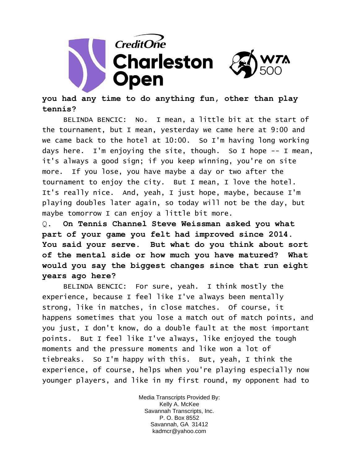

## **you had any time to do anything fun, other than play tennis?**

BELINDA BENCIC: No. I mean, a little bit at the start of the tournament, but I mean, yesterday we came here at 9:00 and we came back to the hotel at 10:00. So I'm having long working days here. I'm enjoying the site, though. So I hope -- I mean, it's always a good sign; if you keep winning, you're on site more. If you lose, you have maybe a day or two after the tournament to enjoy the city. But I mean, I love the hotel. It's really nice. And, yeah, I just hope, maybe, because I'm playing doubles later again, so today will not be the day, but maybe tomorrow I can enjoy a little bit more.

Q. **On Tennis Channel Steve Weissman asked you what part of your game you felt had improved since 2014. You said your serve. But what do you think about sort of the mental side or how much you have matured? What would you say the biggest changes since that run eight years ago here?** 

BELINDA BENCIC: For sure, yeah. I think mostly the experience, because I feel like I've always been mentally strong, like in matches, in close matches. Of course, it happens sometimes that you lose a match out of match points, and you just, I don't know, do a double fault at the most important points. But I feel like I've always, like enjoyed the tough moments and the pressure moments and like won a lot of tiebreaks. So I'm happy with this. But, yeah, I think the experience, of course, helps when you're playing especially now younger players, and like in my first round, my opponent had to